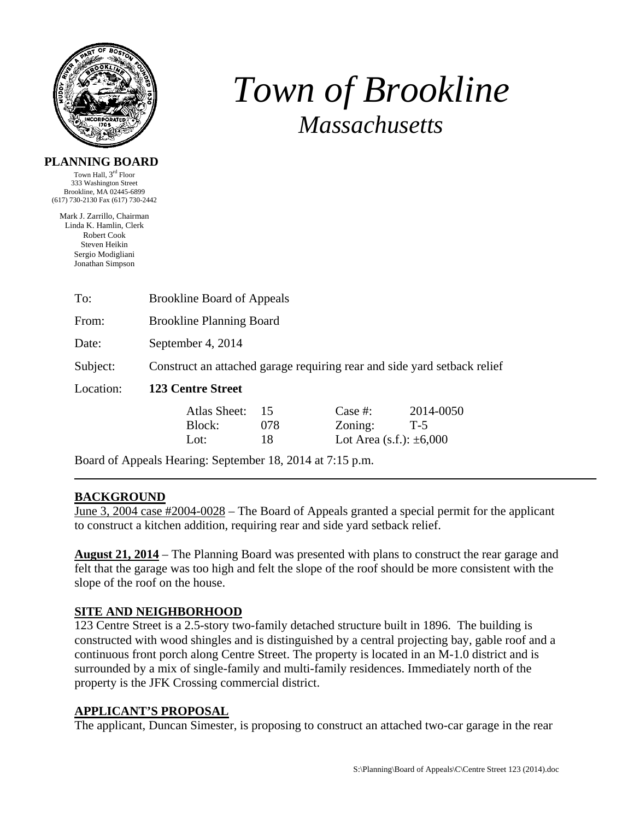

# *Town of Brookline Massachusetts*

#### **PLANNING BOARD**

Town Hall, 3rd Floor 333 Washington Street Brookline, MA 02445-6899 (617) 730-2130 Fax (617) 730-2442

Mark J. Zarrillo, Chairman Linda K. Hamlin, Clerk Robert Cook Steven Heikin Sergio Modigliani Jonathan Simpson

| To:       | <b>Brookline Board of Appeals</b>                                        |     |                              |           |  |  |  |
|-----------|--------------------------------------------------------------------------|-----|------------------------------|-----------|--|--|--|
| From:     | <b>Brookline Planning Board</b>                                          |     |                              |           |  |  |  |
| Date:     | September 4, 2014                                                        |     |                              |           |  |  |  |
| Subject:  | Construct an attached garage requiring rear and side yard setback relief |     |                              |           |  |  |  |
| Location: | <b>123 Centre Street</b>                                                 |     |                              |           |  |  |  |
|           | Atlas Sheet:                                                             | 15  | Case #:                      | 2014-0050 |  |  |  |
|           | Block:                                                                   | 078 | Zoning:                      | $T-5$     |  |  |  |
|           | Lot:                                                                     | 18  | Lot Area (s.f.): $\pm 6,000$ |           |  |  |  |
|           |                                                                          |     |                              |           |  |  |  |

Board of Appeals Hearing: September 18, 2014 at 7:15 p.m.

### **BACKGROUND**

June 3, 2004 case #2004-0028 – The Board of Appeals granted a special permit for the applicant to construct a kitchen addition, requiring rear and side yard setback relief.

**August 21, 2014** – The Planning Board was presented with plans to construct the rear garage and felt that the garage was too high and felt the slope of the roof should be more consistent with the slope of the roof on the house.

### **SITE AND NEIGHBORHOOD**

123 Centre Street is a 2.5-story two-family detached structure built in 1896. The building is constructed with wood shingles and is distinguished by a central projecting bay, gable roof and a continuous front porch along Centre Street. The property is located in an M-1.0 district and is surrounded by a mix of single-family and multi-family residences. Immediately north of the property is the JFK Crossing commercial district.

### **APPLICANT'S PROPOSAL**

The applicant, Duncan Simester, is proposing to construct an attached two-car garage in the rear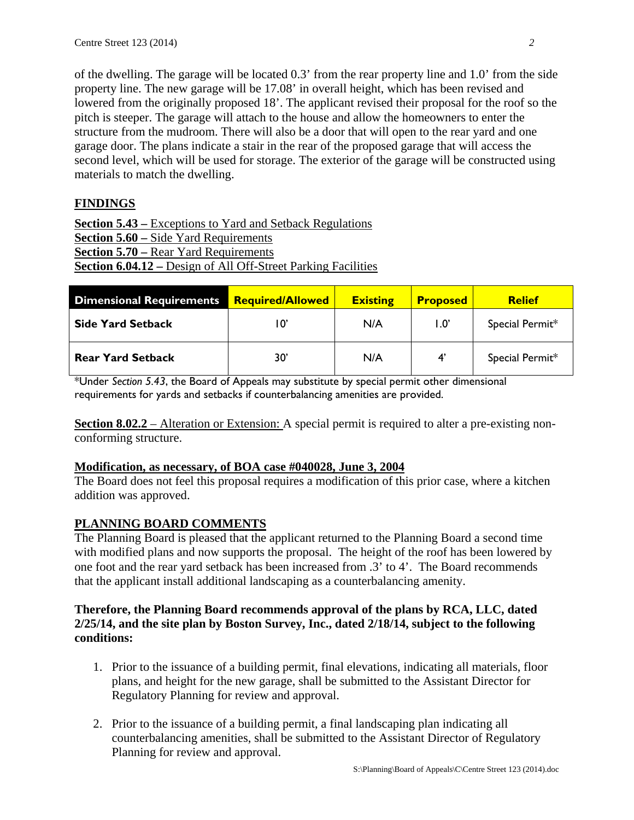of the dwelling. The garage will be located 0.3' from the rear property line and 1.0' from the side property line. The new garage will be 17.08' in overall height, which has been revised and lowered from the originally proposed 18'. The applicant revised their proposal for the roof so the pitch is steeper. The garage will attach to the house and allow the homeowners to enter the structure from the mudroom. There will also be a door that will open to the rear yard and one garage door. The plans indicate a stair in the rear of the proposed garage that will access the second level, which will be used for storage. The exterior of the garage will be constructed using materials to match the dwelling.

## **FINDINGS**

**Section 5.43 –** Exceptions to Yard and Setback Regulations **Section 5.60 –** Side Yard Requirements **Section 5.70 – Rear Yard Requirements Section 6.04.12 –** Design of All Off-Street Parking Facilities

| <b>Dimensional Requirements</b> | <b>Required/Allowed</b> | <b>Existing</b> | <b>Proposed</b>       | <b>Relief</b>   |
|---------------------------------|-------------------------|-----------------|-----------------------|-----------------|
| <b>Side Yard Setback</b>        |                         | N/A             | $1.0^\circ$           | Special Permit* |
| <b>Rear Yard Setback</b>        | 30'                     | N/A             | $\mathbf{4}^{\prime}$ | Special Permit* |

\*Under *Section 5.43*, the Board of Appeals may substitute by special permit other dimensional requirements for yards and setbacks if counterbalancing amenities are provided.

**Section 8.02.2** – Alteration or Extension: A special permit is required to alter a pre-existing nonconforming structure.

### **Modification, as necessary, of BOA case #040028, June 3, 2004**

The Board does not feel this proposal requires a modification of this prior case, where a kitchen addition was approved.

### **PLANNING BOARD COMMENTS**

The Planning Board is pleased that the applicant returned to the Planning Board a second time with modified plans and now supports the proposal. The height of the roof has been lowered by one foot and the rear yard setback has been increased from .3' to 4'. The Board recommends that the applicant install additional landscaping as a counterbalancing amenity.

#### **Therefore, the Planning Board recommends approval of the plans by RCA, LLC, dated 2/25/14, and the site plan by Boston Survey, Inc., dated 2/18/14, subject to the following conditions:**

- 1. Prior to the issuance of a building permit, final elevations, indicating all materials, floor plans, and height for the new garage, shall be submitted to the Assistant Director for Regulatory Planning for review and approval.
- 2. Prior to the issuance of a building permit, a final landscaping plan indicating all counterbalancing amenities, shall be submitted to the Assistant Director of Regulatory Planning for review and approval.